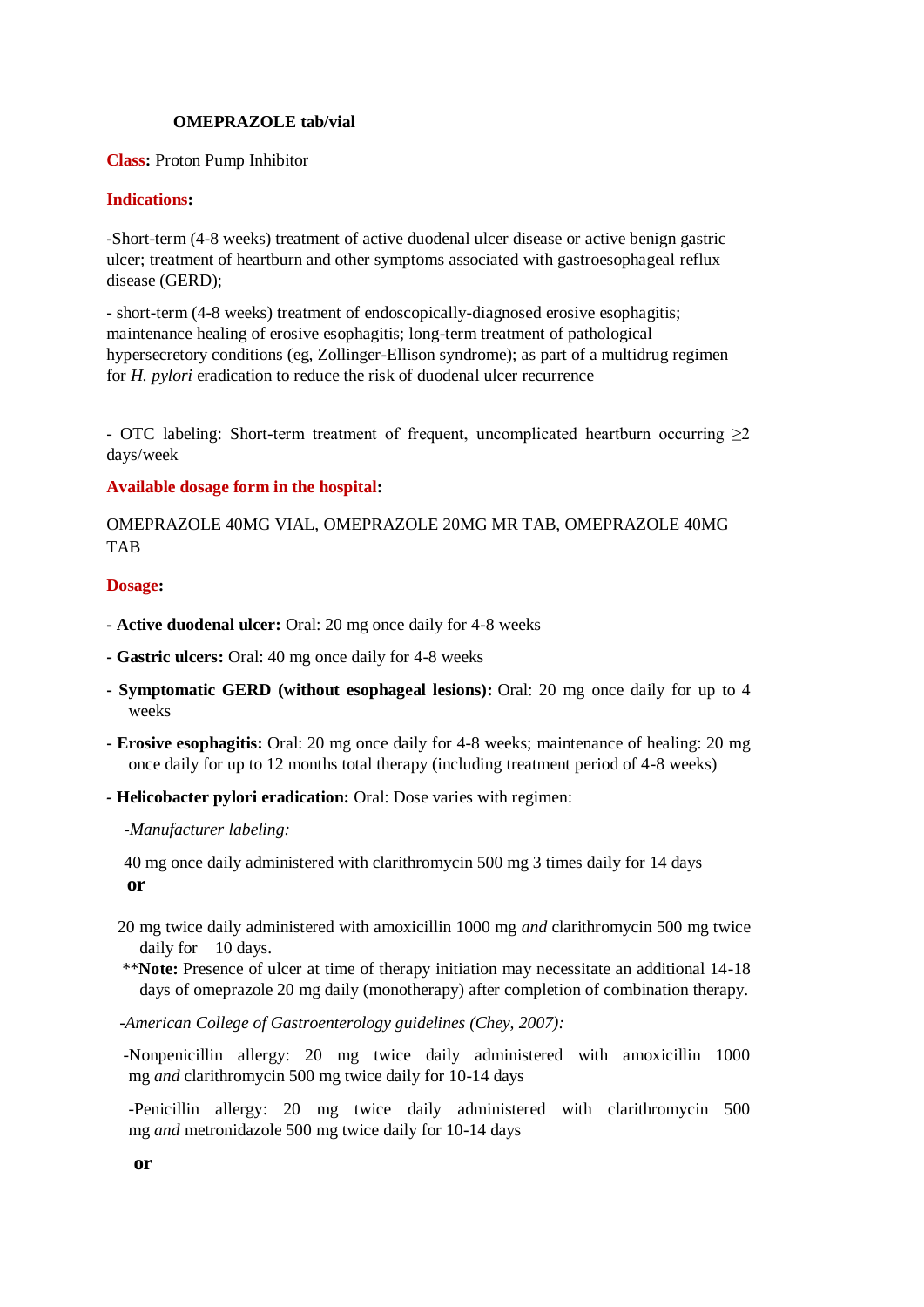# **OMEPRAZOLE tab/vial**

**Class:** Proton Pump Inhibitor

# **Indications:**

-Short-term (4-8 weeks) treatment of active duodenal ulcer disease or active benign gastric ulcer; treatment of heartburn and other symptoms associated with gastroesophageal reflux disease (GERD);

- short-term (4-8 weeks) treatment of endoscopically-diagnosed erosive esophagitis; maintenance healing of erosive esophagitis; long-term treatment of pathological hypersecretory conditions (eg, Zollinger-Ellison syndrome); as part of a multidrug regimen for *H. pylori* eradication to reduce the risk of duodenal ulcer recurrence

- OTC labeling: Short-term treatment of frequent, uncomplicated heartburn occurring ≥2 days/week

# **Available dosage form in the hospital:**

OMEPRAZOLE 40MG VIAL, OMEPRAZOLE 20MG MR TAB, OMEPRAZOLE 40MG TAB

# **Dosage:**

- **- Active duodenal ulcer:** Oral: 20 mg once daily for 4-8 weeks
- **- Gastric ulcers:** Oral: 40 mg once daily for 4-8 weeks
- **- Symptomatic GERD (without esophageal lesions):** Oral: 20 mg once daily for up to 4 weeks
- **- Erosive esophagitis:** Oral: 20 mg once daily for 4-8 weeks; maintenance of healing: 20 mg once daily for up to 12 months total therapy (including treatment period of 4-8 weeks)
- *-* **Helicobacter pylori eradication:** Oral: Dose varies with regimen:

 *-Manufacturer labeling:*

 40 mg once daily administered with clarithromycin 500 mg 3 times daily for 14 days  **or**

- 20 mg twice daily administered with amoxicillin 1000 mg *and* clarithromycin 500 mg twice daily for 10 days.
- \*\***Note:** Presence of ulcer at time of therapy initiation may necessitate an additional 14-18 days of omeprazole 20 mg daily (monotherapy) after completion of combination therapy.
- *-American College of Gastroenterology guidelines (Chey, 2007):*

 -Nonpenicillin allergy: 20 mg twice daily administered with amoxicillin 1000 mg *and* clarithromycin 500 mg twice daily for 10-14 days

-Penicillin allergy: 20 mg twice daily administered with clarithromycin 500 mg *and* metronidazole 500 mg twice daily for 10-14 days

**or**